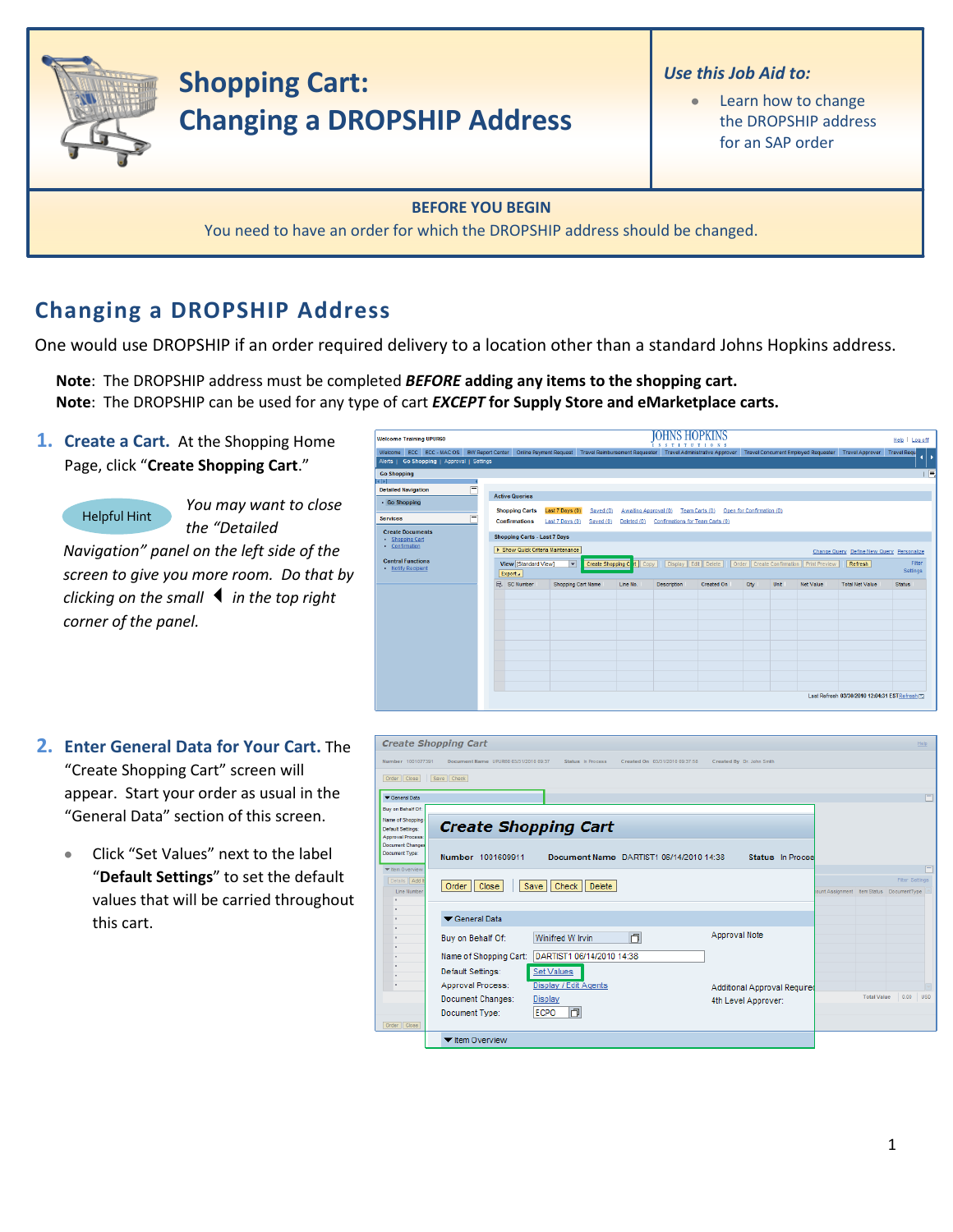

## **Changing a DROPSHIP Address**

One would use DROPSHIP if an order required delivery to a location other than a standard Johns Hopkins address.

**Note**: The DROPSHIP address must be completed *BEFORE* **adding any items to the shopping cart. Note**: The DROPSHIP can be used for any type of cart *EXCEPT* **for Supply Store and eMarketplace carts.**

**1. Create a Cart.** At the Shopping Home Page, click "**Create Shopping Cart**."



*You may want to close the "Detailed* 

*Navigation" panel on the left side of the screen to give you more room. Do that by clicking on the small in the top right corner of the panel.*

| <b>Welcome Training UPUR60</b>                                                                                                                                                   |                                                                                                               |                                                              |                                       | <b>IOHNS HOPKINS</b><br><b>NSTITUTIONS</b>         |                                |                           |                             |                                             |                                                                                | Help   Log off                     |
|----------------------------------------------------------------------------------------------------------------------------------------------------------------------------------|---------------------------------------------------------------------------------------------------------------|--------------------------------------------------------------|---------------------------------------|----------------------------------------------------|--------------------------------|---------------------------|-----------------------------|---------------------------------------------|--------------------------------------------------------------------------------|------------------------------------|
| Welcome ECC ECC - MAC OS BW Report Center<br>Alerts   Go Shopping   Approval   Settings                                                                                          | <b>Online Payment Request</b>                                                                                 |                                                              | <b>Travel Reimbursement Requester</b> |                                                    | Travel Administrative Approver |                           |                             | <b>Travel Concurrent Employed Requester</b> | <b>Travel Approver</b>                                                         | <b>Travel Requ</b><br>I۰           |
| <b>Go Shopping</b><br><b>KIN</b><br>$=$<br><b>Detailed Navigation</b><br>· Go Shopping<br>$=$<br><b>Services</b><br><b>Create Documents</b><br>· Shopping Cart<br>• Confirmation | <b>Active Queries</b><br><b>Shopping Carts</b><br><b>Confirmations</b><br><b>Shopping Carts - Last 7 Days</b> | Last 7 Days (0)<br>Saved (0)<br>Last 7 Days (0)<br>Saved (0) | Awaiting Approval (0)<br>Deleted (0)  | Team Carts (0)<br>Confirmations for Team Carts (0) |                                | Open for Confirmation (0) |                             |                                             |                                                                                | 同                                  |
| <b>Central Functions</b><br>· Notify Recipient                                                                                                                                   | > Show Quick Criteria Maintenance<br>View [Standard View]<br>Export 4<br>SC Number<br>昆                       | $\overline{\phantom{a}}$<br>Shopping Cart Name               | Create Shopping C t Copy<br>Line No.  | Display Edit Delete<br><b>Description</b>          | Order<br>Created On            | Qtv                       | Create Confirmation<br>Unit | Print Preview<br><b>Net Value</b>           | Change Query Define New Query Personalize<br>Refresh<br><b>Total Net Value</b> | Fiter<br>Settings<br><b>Status</b> |
|                                                                                                                                                                                  |                                                                                                               |                                                              |                                       |                                                    |                                |                           |                             |                                             |                                                                                |                                    |
|                                                                                                                                                                                  |                                                                                                               |                                                              |                                       |                                                    |                                |                           |                             |                                             | Last Refresh 03/30/2010 12:04:31 ESTRefresh ET                                 |                                    |

- **2. Enter General Data for Your Cart.** The "Create Shopping Cart" screen will appear. Start your order as usual in the "General Data" section of this screen.
	- Click "Set Values" next to the label "**Default Settings**" to set the default values that will be carried throughout this cart.

|                                                                          | <b>Create Shopping Cart</b>                                                                  |                              | <b>Help</b>                              |
|--------------------------------------------------------------------------|----------------------------------------------------------------------------------------------|------------------------------|------------------------------------------|
| Number 1001077391                                                        | Document Name UPUR60 03/31/2010 09:37<br>Status In Process<br>Created On 03/31/2010 09:37:58 | Created By Dr. John Smith    |                                          |
| Order   Close                                                            | Save Check                                                                                   |                              |                                          |
| General Data                                                             |                                                                                              |                              | $\Box$                                   |
| Buy on Behalf Of:                                                        |                                                                                              |                              |                                          |
| Name of Shopping<br><b>Default Settings:</b><br><b>Approval Process:</b> | <b>Create Shopping Cart</b>                                                                  |                              |                                          |
| <b>Document Changes</b><br>Document Type:                                | Number 1001609911<br>Document Name DARTIST1 06/14/2010 14:38                                 | Status In Proces             |                                          |
| <b>W</b> Item Overview<br>Details   Add II                               |                                                                                              |                              | Γ<br><b>Filter Settings</b>              |
| Line Number                                                              | Close<br>Check<br>Delete<br>Order  <br>Save                                                  |                              | ount Assignment Item Status DocumentType |
|                                                                          |                                                                                              |                              |                                          |
|                                                                          | General Data                                                                                 |                              |                                          |
|                                                                          | O<br>Winifred W Irvin<br>Buy on Behalf Of:                                                   | Approval Note                |                                          |
|                                                                          | DARTIST1 06/14/2010 14:38<br>Name of Shopping Cart:                                          |                              |                                          |
|                                                                          | Default Settings:<br><b>Set Values</b>                                                       |                              |                                          |
| $\sim$                                                                   | Approval Process:<br>Display / Edit Agents                                                   | Additional Approval Required |                                          |
|                                                                          | Document Changes:<br><b>Display</b>                                                          | 4th Level Approver:          | <b>Total Value</b><br>0.00<br><b>USD</b> |
|                                                                          | 门<br><b>ECPO</b><br>Document Type:                                                           |                              |                                          |
| Order   Close                                                            |                                                                                              |                              |                                          |
|                                                                          | ▼ Item Overview                                                                              |                              |                                          |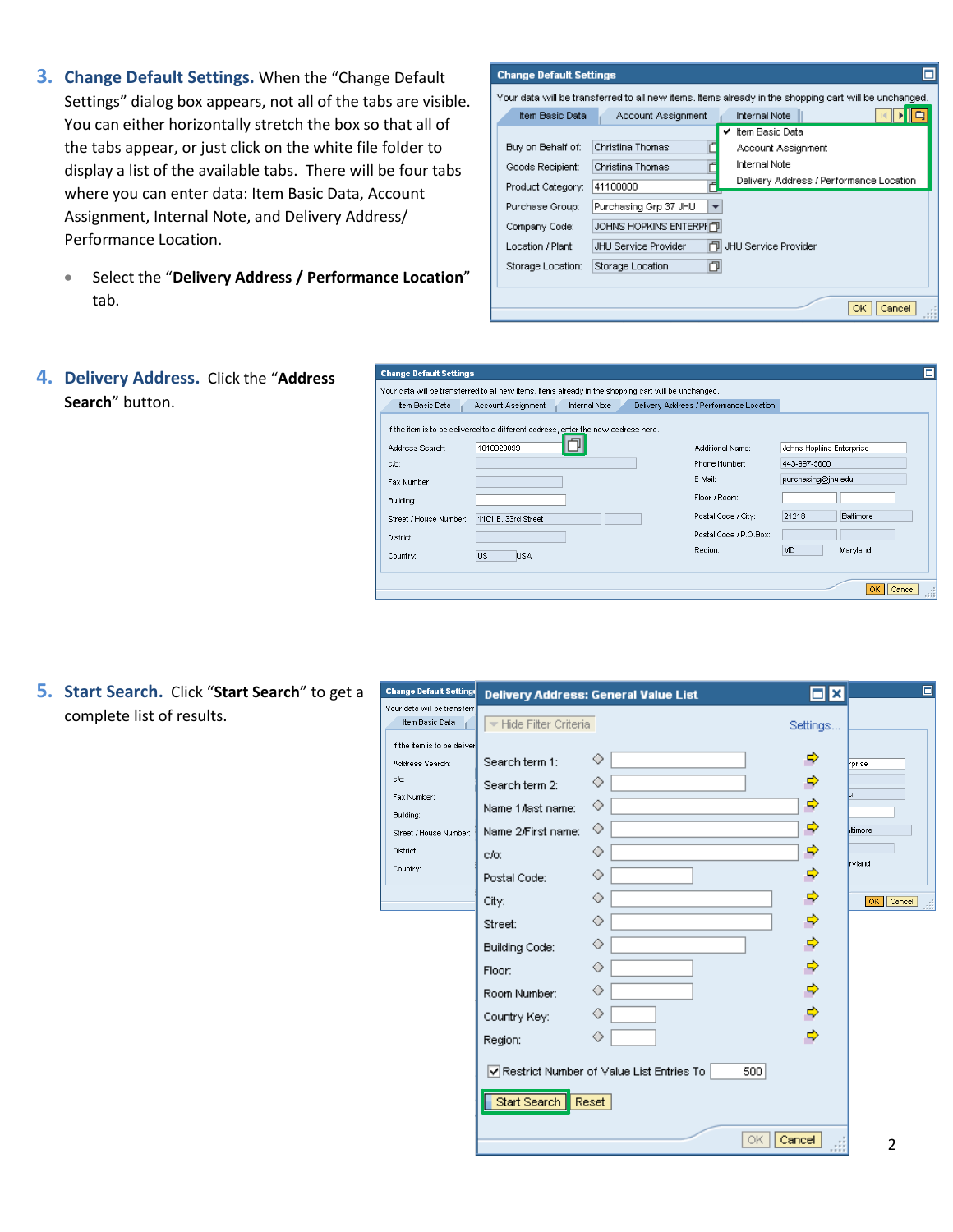- **3. Change Default Settings.** When the "Change Default Settings" dialog box appears, not all of the tabs are visible. You can either horizontally stretch the box so that all of the tabs appear, or just click on the white file folder to display a list of the available tabs. There will be four tabs where you can enter data: Item Basic Data, Account Assignment, Internal Note, and Delivery Address/ Performance Location.
	- Select the "**Delivery Address / Performance Location**" tab.

| <b>Change Default Settings</b> |                            |                                                                                                       |
|--------------------------------|----------------------------|-------------------------------------------------------------------------------------------------------|
|                                |                            | Your data will be transferred to all new items, items already in the shopping cart will be unchanged. |
| Item Basic Data                | Account Assignment         | <b>Internal Note</b>                                                                                  |
|                                |                            | Item Basic Data                                                                                       |
| Buy on Behalf of:              | Christina Thomas           | Account Assignment                                                                                    |
| Goods Recipient:               | Christina Thomas           | <b>Internal Note</b>                                                                                  |
| Product Category:              | Ē<br>41100000              | Delivery Address / Performance Location                                                               |
| Purchase Group:                | Purchasing Grp 37 JHU<br>- |                                                                                                       |
| Company Code:                  | JOHNS HOPKINS ENTERPI门     |                                                                                                       |
| Location / Plant:              | JHU Service Provider       | THI JHU Service Provider                                                                              |
| Storage Location:              | O<br>Storage Location      |                                                                                                       |
|                                |                            |                                                                                                       |
|                                |                            | ОК<br>Cancel                                                                                          |

**4. Delivery Address.** Click the "**Address Search**" button.

|                        | Your data will be transferred to all new items, Items already in the shopping cart will be unchanged. |                                         |                          |
|------------------------|-------------------------------------------------------------------------------------------------------|-----------------------------------------|--------------------------|
| Item Basic Data        | Internal Note<br>Account Assignment                                                                   | Delivery Address / Performance Location |                          |
|                        | If the item is to be delivered to a different address, enter the new address here.                    |                                         |                          |
| Address Search:        | 1010020099                                                                                            | Additional Name:                        | Johns Hopkins Enterprise |
| $c/c$ :                |                                                                                                       | Phone Number:                           | 443-997-5600             |
| Fax Number:            |                                                                                                       | E-Mail:                                 | purchasing@jhu.edu       |
| Building:              |                                                                                                       | Floor / Room:                           |                          |
| Street / House Number: | 1101 E. 33rd Street                                                                                   | Postal Code / City:                     | 21218<br>Baltimore       |
| District:              |                                                                                                       | Postal Code / P.O.Box:                  |                          |
| Country:               | lus.<br><b>USA</b>                                                                                    | Region:                                 | MD<br>Maryland           |

**5. Start Search.** Click "**Start Search**" to get a complete list of results.

| <b>Change Default Settings</b>                                                                                                         |                                                                                                                                                                                                          |                                                                                                                    |                                                                                                                                                              | o                                                                       |
|----------------------------------------------------------------------------------------------------------------------------------------|----------------------------------------------------------------------------------------------------------------------------------------------------------------------------------------------------------|--------------------------------------------------------------------------------------------------------------------|--------------------------------------------------------------------------------------------------------------------------------------------------------------|-------------------------------------------------------------------------|
| Your data will be transferre<br>Item Basic Data                                                                                        | Hide Filter Criteria                                                                                                                                                                                     | Delivery Address: General Value List                                                                               | Ы<br>Ι×                                                                                                                                                      |                                                                         |
| If the item is to be deliver<br>Address Search:<br>c/o:<br>Fax Number:<br>Building:<br>Street / House Number:<br>District:<br>Country: | Search term 1:<br>Search term 2:<br>Name 1 Aast name:<br>Name 2/First name:<br>$c/c$ :<br>Postal Code:<br>City:<br>Street:<br><b>Building Code:</b><br>Floor:<br>Room Number:<br>Country Key:<br>Region: | ◇<br>◇<br>◇<br>◇<br>◇<br>◇<br>◇<br>◇<br>◇<br>◇<br>◇<br>◇<br>◇<br>☑ Restrict Number of Value List Entries To<br>500 | Settings<br>⇨<br>ф<br>⇨<br>⇨<br>⇨<br><br>$\Rightarrow$<br>$\Rightarrow$<br>$\Rightarrow$<br>$\Rightarrow$<br>$\Rightarrow$<br>$\Rightarrow$<br>$\Rightarrow$ | prise<br><b>Itimore</b><br>ryland<br>$\overline{\mathsf{OK}}$<br>Cancel |
|                                                                                                                                        | Start Search                                                                                                                                                                                             | Reset                                                                                                              |                                                                                                                                                              |                                                                         |
|                                                                                                                                        |                                                                                                                                                                                                          | ОK                                                                                                                 | Cancel                                                                                                                                                       | 2                                                                       |